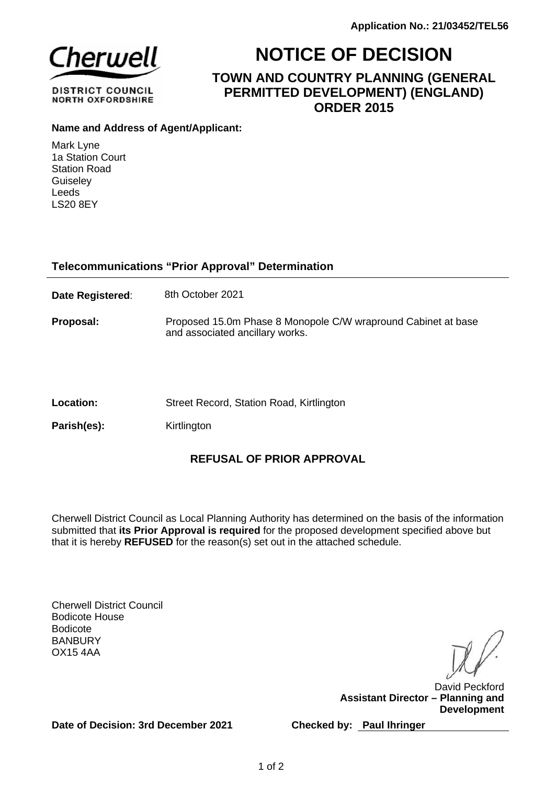

**DISTRICT COUNCIL NORTH OXFORDSHIRE** 

# **NOTICE OF DECISION**

**TOWN AND COUNTRY PLANNING (GENERAL PERMITTED DEVELOPMENT) (ENGLAND) ORDER 2015**

## **Name and Address of Agent/Applicant:**

Mark Lyne 1a Station Court Station Road **Guiselev** Leeds LS20 8EY

## **Telecommunications "Prior Approval" Determination**

**Date Registered:** 8th October 2021

- **Proposal:** Proposed 15.0m Phase 8 Monopole C/W wrapround Cabinet at base and associated ancillary works.
- Location: Street Record, Station Road, Kirtlington

**Parish(es):** Kirtlington

## **REFUSAL OF PRIOR APPROVAL**

Cherwell District Council as Local Planning Authority has determined on the basis of the information submitted that **its Prior Approval is required** for the proposed development specified above but that it is hereby **REFUSED** for the reason(s) set out in the attached schedule.

Cherwell District Council Bodicote House Bodicote **BANBURY** OX15 4AA

David Peckford **Assistant Director – Planning and Development**

**Date of Decision: 3rd December 2021**

**Checked by: Paul Ihringer**